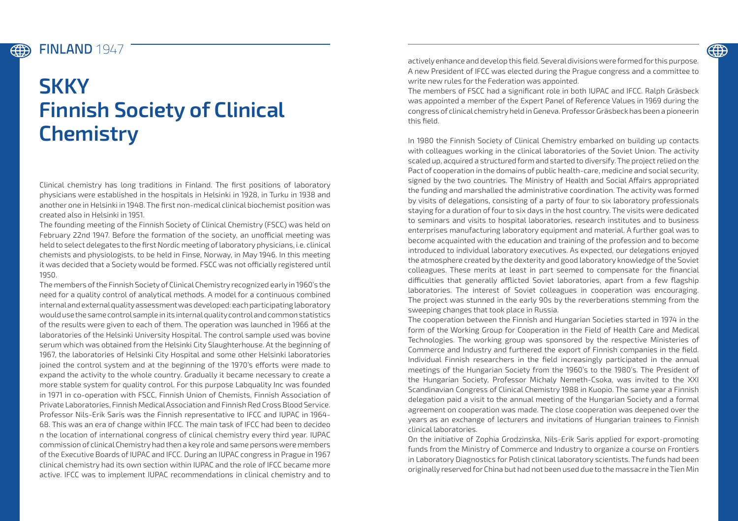## **ED**

## FINLAND **1947**

400

## **SKKY Finnish Society of Clinical Chemistry**

Clinical chemistry has long traditions in Finland. The first positions of laboratory physicians were established in the hospitals in Helsinki in 1928, in Turku in 1938 and another one in Helsinki in 1948. The first non-medical clinical biochemist position was created also in Helsinki in 1951.

The founding meeting of the Finnish Society of Clinical Chemistry (FSCC) was held on February 22nd 1947. Before the formation of the society, an unofficial meeting was held to select delegates to the first Nordic meeting of laboratory physicians, i.e. clinical chemists and physiologists, to be held in Finse, Norway, in May 1946. In this meeting it was decided that a Society would be formed. FSCC was not officially registered until 1950.

The members of the Finnish Society of Clinical Chemistry recognized early in 1960's the need for a quality control of analytical methods. A model for a continuous combined internal and external quality assessment was developed: each participating laboratory would use the same control sample in its internal quality control and common statistics of the results were given to each of them. The operation was launched in 1966 at the laboratories of the Helsinki University Hospital. The control sample used was bovine serum which was obtained from the Helsinki City Slaughterhouse. At the beginning of 1967, the laboratories of Helsinki City Hospital and some other Helsinki laboratories joined the control system and at the beginning of the 1970's efforts were made to expand the activity to the whole country. Gradually it became necessary to create a more stable system for quality control. For this purpose Labquality Inc was founded in 1971 in co-operation with FSCC, Finnish Union of Chemists, Finnish Association of Private Laboratories, Finnish Medical Association and Finnish Red Cross Blood Service. Professor Nils-Erik Saris was the Finnish representative to IFCC and IUPAC in 1964- 68. This was an era of change within IFCC. The main task of IFCC had been to decideo n the location of international congress of clinical chemistry every third year. IUPAC commission of clinical Chemistry had then a key role and same persons were members of the Executive Boards of IUPAC and IFCC. During an IUPAC congress in Prague in 1967 clinical chemistry had its own section within IUPAC and the role of IFCC became more active. IFCC was to implement IUPAC recommendations in clinical chemistry and to

actively enhance and develop this field. Several divisions were formed for this purpose. A new President of IFCC was elected during the Prague congress and a committee to write new rules for the Federation was appointed.

The members of FSCC had a significant role in both IUPAC and IFCC. Ralph Gräsbeck was appointed a member of the Expert Panel of Reference Values in 1969 during the congress of clinical chemistry held in Geneva. Professor Gräsbeck has been a pioneerin this field.

In 1980 the Finnish Society of Clinical Chemistry embarked on building up contacts with colleagues working in the clinical laboratories of the Soviet Union. The activity scaled up, acquired a structured form and started to diversify. The project relied on the Pact of cooperation in the domains of public health-care, medicine and social security, signed by the two countries. The Ministry of Health and Social Affairs appropriated the funding and marshalled the administrative coordination. The activity was formed by visits of delegations, consisting of a party of four to six laboratory professionals staying for a duration of four to six days in the host country. The visits were dedicated to seminars and visits to hospital laboratories, research institutes and to business enterprises manufacturing laboratory equipment and material. A further goal was to become acquainted with the education and training of the profession and to become introduced to individual laboratory executives. As expected, our delegations enjoyed the atmosphere created by the dexterity and good laboratory knowledge of the Soviet colleagues. These merits at least in part seemed to compensate for the financial difficulties that generally afflicted Soviet laboratories, apart from a few flagship laboratories. The interest of Soviet colleagues in cooperation was encouraging. The project was stunned in the early 90s by the reverberations stemming from the sweeping changes that took place in Russia.

The cooperation between the Finnish and Hungarian Societies started in 1974 in the form of the Working Group for Cooperation in the Field of Health Care and Medical Technologies. The working group was sponsored by the respective Ministeries of Commerce and Industry and furthered the export of Finnish companies in the field. Individual Finnish researchers in the field increasingly participated in the annual meetings of the Hungarian Society from the 1960's to the 1980's. The President of the Hungarian Society, Professor Michaly Nemeth-Csoka, was invited to the XXI Scandinavian Congress of Clinical Chemistry 1988 in Kuopio. The same year a Finnish delegation paid a visit to the annual meeting of the Hungarian Society and a formal agreement on cooperation was made. The close cooperation was deepened over the years as an exchange of lecturers and invitations of Hungarian trainees to Finnish clinical laboratories.

On the initiative of Zophia Grodzinska, Nils-Erik Saris applied for export-promoting funds from the Ministry of Commerce and Industry to organize a course on Frontiers in Laboratory Diagnostics for Polish clinical laboratory scientists. The funds had been originally reserved for China but had not been used due to the massacre in the Tien Min